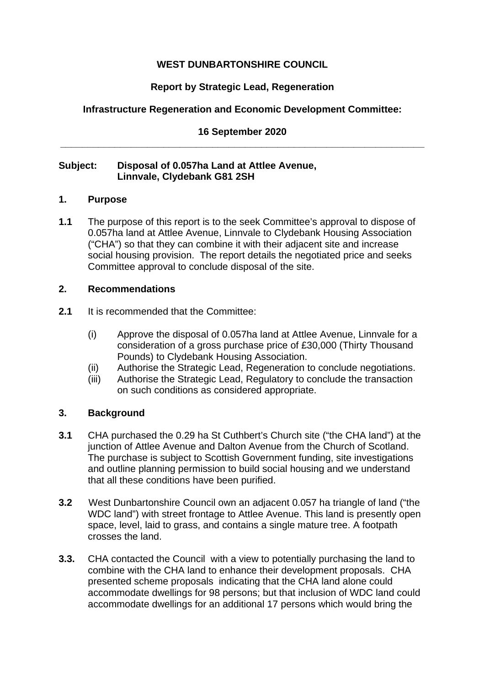## **WEST DUNBARTONSHIRE COUNCIL**

# **Report by Strategic Lead, Regeneration**

# **Infrastructure Regeneration and Economic Development Committee:**

## **16 September 2020 \_\_\_\_\_\_\_\_\_\_\_\_\_\_\_\_\_\_\_\_\_\_\_\_\_\_\_\_\_\_\_\_\_\_\_\_\_\_\_\_\_\_\_\_\_\_\_\_\_\_\_\_\_\_\_\_\_\_\_\_\_\_\_\_\_\_\_**

### **Subject: Disposal of 0.057ha Land at Attlee Avenue, Linnvale, Clydebank G81 2SH**

### **1. Purpose**

**1.1** The purpose of this report is to the seek Committee's approval to dispose of 0.057ha land at Attlee Avenue, Linnvale to Clydebank Housing Association ("CHA") so that they can combine it with their adjacent site and increase social housing provision. The report details the negotiated price and seeks Committee approval to conclude disposal of the site.

## **2. Recommendations**

- **2.1** It is recommended that the Committee:
	- (i) Approve the disposal of 0.057ha land at Attlee Avenue, Linnvale for a consideration of a gross purchase price of £30,000 (Thirty Thousand Pounds) to Clydebank Housing Association.
	- (ii) Authorise the Strategic Lead, Regeneration to conclude negotiations.
	- (iii) Authorise the Strategic Lead, Regulatory to conclude the transaction on such conditions as considered appropriate.

## **3. Background**

- **3.1** CHA purchased the 0.29 ha St Cuthbert's Church site ("the CHA land") at the junction of Attlee Avenue and Dalton Avenue from the Church of Scotland. The purchase is subject to Scottish Government funding, site investigations and outline planning permission to build social housing and we understand that all these conditions have been purified.
- **3.2** West Dunbartonshire Council own an adjacent 0.057 ha triangle of land ("the WDC land") with street frontage to Attlee Avenue. This land is presently open space, level, laid to grass, and contains a single mature tree. A footpath crosses the land.
- **3.3.** CHA contacted the Council with a view to potentially purchasing the land to combine with the CHA land to enhance their development proposals. CHA presented scheme proposals indicating that the CHA land alone could accommodate dwellings for 98 persons; but that inclusion of WDC land could accommodate dwellings for an additional 17 persons which would bring the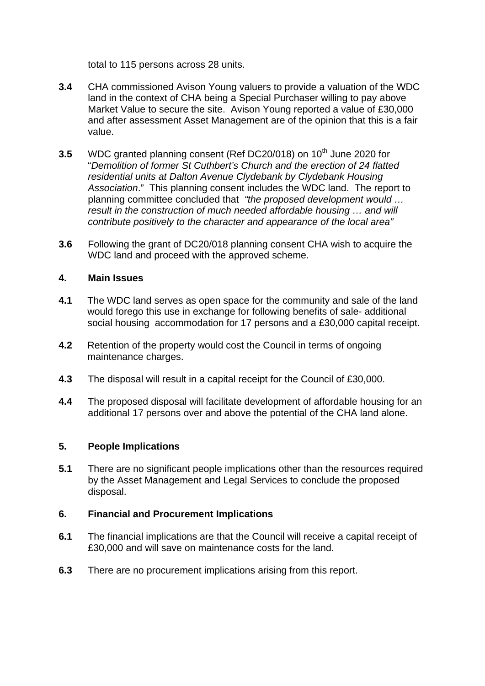total to 115 persons across 28 units.

- **3.4** CHA commissioned Avison Young valuers to provide a valuation of the WDC land in the context of CHA being a Special Purchaser willing to pay above Market Value to secure the site. Avison Young reported a value of £30,000 and after assessment Asset Management are of the opinion that this is a fair value.
- **3.5** WDC granted planning consent (Ref DC20/018) on 10<sup>th</sup> June 2020 for "*Demolition of former St Cuthbert's Church and the erection of 24 flatted residential units at Dalton Avenue Clydebank by Clydebank Housing Association*." This planning consent includes the WDC land. The report to planning committee concluded that *"the proposed development would … result in the construction of much needed affordable housing … and will contribute positively to the character and appearance of the local area"*
- **3.6** Following the grant of DC20/018 planning consent CHA wish to acquire the WDC land and proceed with the approved scheme.

## **4. Main Issues**

- **4.1** The WDC land serves as open space for the community and sale of the land would forego this use in exchange for following benefits of sale- additional social housing accommodation for 17 persons and a £30,000 capital receipt.
- **4.2** Retention of the property would cost the Council in terms of ongoing maintenance charges.
- **4.3** The disposal will result in a capital receipt for the Council of £30,000.
- **4.4** The proposed disposal will facilitate development of affordable housing for an additional 17 persons over and above the potential of the CHA land alone.

### **5. People Implications**

**5.1** There are no significant people implications other than the resources required by the Asset Management and Legal Services to conclude the proposed disposal.

### **6. Financial and Procurement Implications**

- **6.1** The financial implications are that the Council will receive a capital receipt of £30,000 and will save on maintenance costs for the land.
- **6.3** There are no procurement implications arising from this report.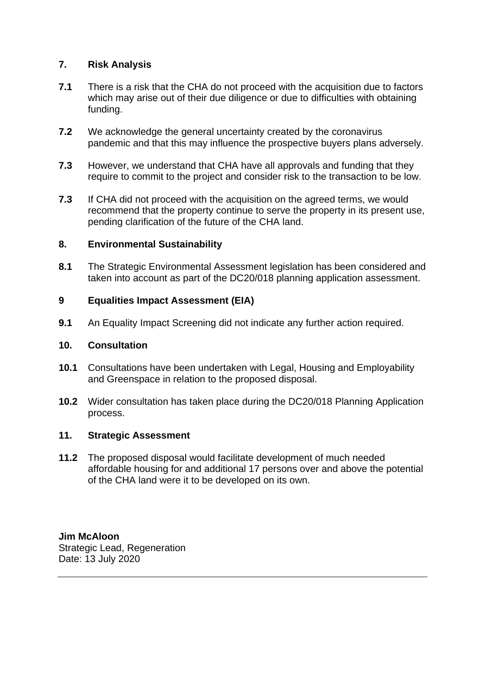## **7. Risk Analysis**

- **7.1** There is a risk that the CHA do not proceed with the acquisition due to factors which may arise out of their due diligence or due to difficulties with obtaining funding.
- **7.2** We acknowledge the general uncertainty created by the coronavirus pandemic and that this may influence the prospective buyers plans adversely.
- **7.3** However, we understand that CHA have all approvals and funding that they require to commit to the project and consider risk to the transaction to be low.
- **7.3** If CHA did not proceed with the acquisition on the agreed terms, we would recommend that the property continue to serve the property in its present use, pending clarification of the future of the CHA land.

### **8. Environmental Sustainability**

**8.1** The Strategic Environmental Assessment legislation has been considered and taken into account as part of the DC20/018 planning application assessment.

## **9 Equalities Impact Assessment (EIA)**

**9.1** An Equality Impact Screening did not indicate any further action required.

### **10. Consultation**

- **10.1** Consultations have been undertaken with Legal, Housing and Employability and Greenspace in relation to the proposed disposal.
- **10.2** Wider consultation has taken place during the DC20/018 Planning Application process.

## **11. Strategic Assessment**

**11.2** The proposed disposal would facilitate development of much needed affordable housing for and additional 17 persons over and above the potential of the CHA land were it to be developed on its own.

**Jim McAloon** Strategic Lead, Regeneration Date: 13 July 2020